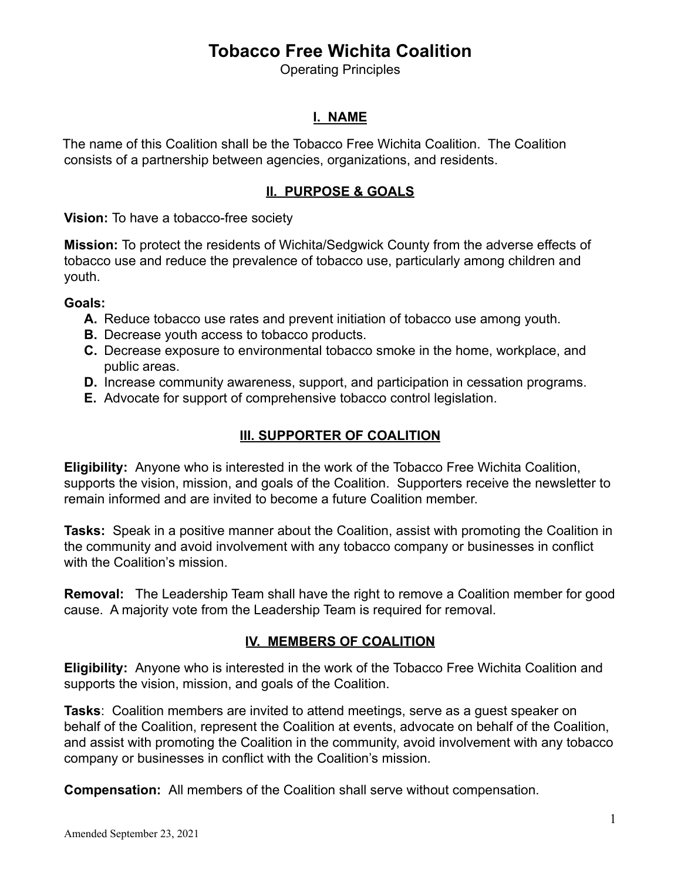# **Tobacco Free Wichita Coalition**

Operating Principles

### **I. NAME**

The name of this Coalition shall be the Tobacco Free Wichita Coalition. The Coalition consists of a partnership between agencies, organizations, and residents.

### **II. PURPOSE & GOALS**

**Vision:** To have a tobacco-free society

**Mission:** To protect the residents of Wichita/Sedgwick County from the adverse effects of tobacco use and reduce the prevalence of tobacco use, particularly among children and youth.

#### **Goals:**

- **A.** Reduce tobacco use rates and prevent initiation of tobacco use among youth.
- **B.** Decrease youth access to tobacco products.
- **C.** Decrease exposure to environmental tobacco smoke in the home, workplace, and public areas.
- **D.** Increase community awareness, support, and participation in cessation programs.
- **E.** Advocate for support of comprehensive tobacco control legislation.

## **III. SUPPORTER OF COALITION**

**Eligibility:** Anyone who is interested in the work of the Tobacco Free Wichita Coalition, supports the vision, mission, and goals of the Coalition. Supporters receive the newsletter to remain informed and are invited to become a future Coalition member.

**Tasks:** Speak in a positive manner about the Coalition, assist with promoting the Coalition in the community and avoid involvement with any tobacco company or businesses in conflict with the Coalition's mission.

**Removal:** The Leadership Team shall have the right to remove a Coalition member for good cause. A majority vote from the Leadership Team is required for removal.

### **IV. MEMBERS OF COALITION**

**Eligibility:** Anyone who is interested in the work of the Tobacco Free Wichita Coalition and supports the vision, mission, and goals of the Coalition.

**Tasks**: Coalition members are invited to attend meetings, serve as a guest speaker on behalf of the Coalition, represent the Coalition at events, advocate on behalf of the Coalition, and assist with promoting the Coalition in the community, avoid involvement with any tobacco company or businesses in conflict with the Coalition's mission.

**Compensation:** All members of the Coalition shall serve without compensation.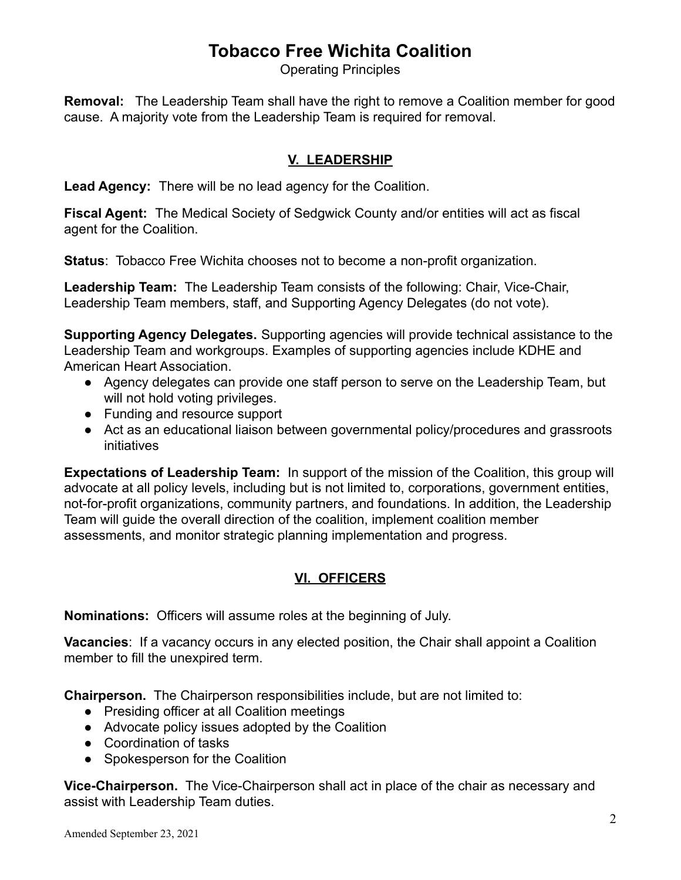# **Tobacco Free Wichita Coalition**

Operating Principles

**Removal:** The Leadership Team shall have the right to remove a Coalition member for good cause. A majority vote from the Leadership Team is required for removal.

### **V. LEADERSHIP**

**Lead Agency:** There will be no lead agency for the Coalition.

**Fiscal Agent:** The Medical Society of Sedgwick County and/or entities will act as fiscal agent for the Coalition.

**Status**: Tobacco Free Wichita chooses not to become a non-profit organization.

**Leadership Team:** The Leadership Team consists of the following: Chair, Vice-Chair, Leadership Team members, staff, and Supporting Agency Delegates (do not vote).

**Supporting Agency Delegates.** Supporting agencies will provide technical assistance to the Leadership Team and workgroups. Examples of supporting agencies include KDHE and American Heart Association.

- Agency delegates can provide one staff person to serve on the Leadership Team, but will not hold voting privileges.
- Funding and resource support
- Act as an educational liaison between governmental policy/procedures and grassroots initiatives

**Expectations of Leadership Team:** In support of the mission of the Coalition, this group will advocate at all policy levels, including but is not limited to, corporations, government entities, not-for-profit organizations, community partners, and foundations. In addition, the Leadership Team will guide the overall direction of the coalition, implement coalition member assessments, and monitor strategic planning implementation and progress.

### **VI. OFFICERS**

**Nominations:** Officers will assume roles at the beginning of July.

**Vacancies**: If a vacancy occurs in any elected position, the Chair shall appoint a Coalition member to fill the unexpired term.

**Chairperson.** The Chairperson responsibilities include, but are not limited to:

- Presiding officer at all Coalition meetings
- Advocate policy issues adopted by the Coalition
- Coordination of tasks
- Spokesperson for the Coalition

**Vice-Chairperson.** The Vice-Chairperson shall act in place of the chair as necessary and assist with Leadership Team duties.